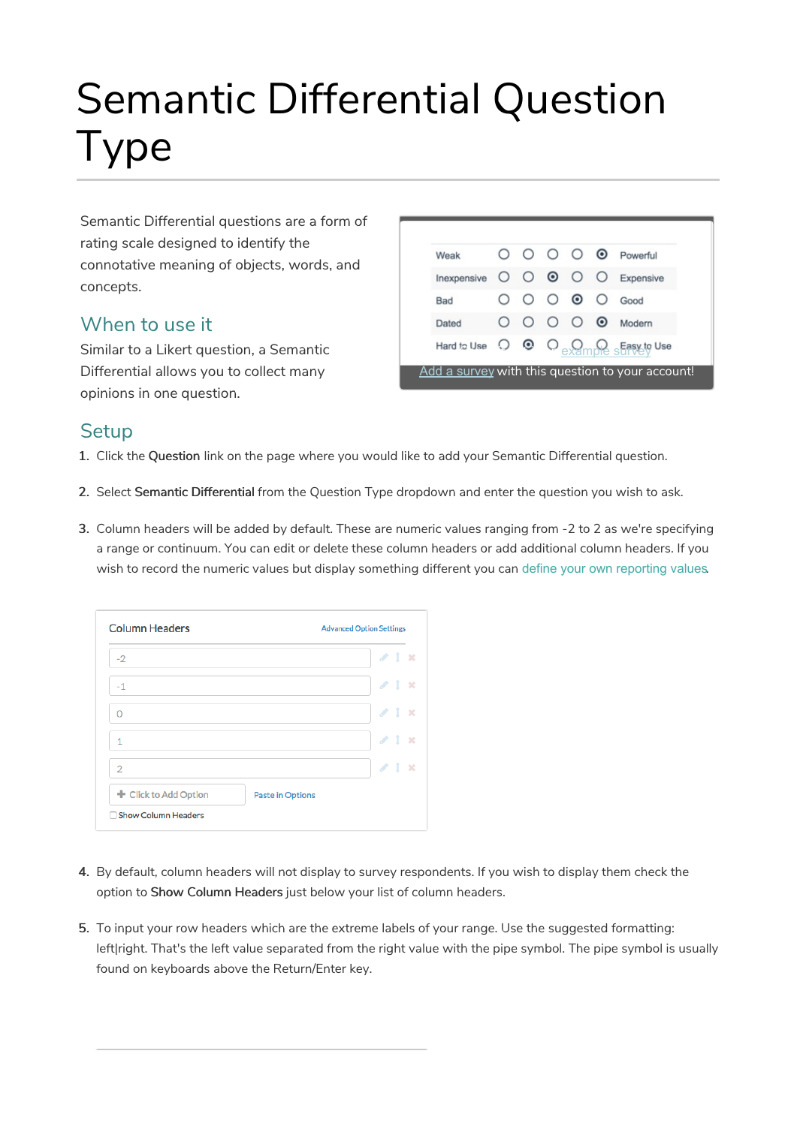# Semantic Differential Question Type

Semantic Differential questions are a form of rating scale designed to identify the connotative meaning of objects, words, and concepts.

#### When to use it

Similar to a Likert question, a Semantic Differential allows you to collect many opinions in one question.

| Weak                          |  |                                       | O O O O O Powerful                                                                                                                                 |
|-------------------------------|--|---------------------------------------|----------------------------------------------------------------------------------------------------------------------------------------------------|
| Inexpensive O O O O Expensive |  |                                       |                                                                                                                                                    |
| Bad                           |  | $\circ \circ \circ \circ \circ \circ$ | Good                                                                                                                                               |
| Dated                         |  |                                       | O O O O Modern                                                                                                                                     |
|                               |  |                                       | Hard to Use $\bigcirc$ $\bullet$ $\bigcirc$ $\bigcirc$ $\bigcirc$ $\bigcirc$ $\bigcirc$ $\bigcirc$ $\bigcirc$ $\bigcirc$ $\bigcirc$ $\bigcirc$ Use |

#### **Setup**

1. Click the Question link on the page where you would like to add your Semantic Differential question.

- 2. Select Semantic Differential from the Question Type dropdown and enter the question you wish to ask.
- 3. Column headers will be added by default. These are numeric values ranging from -2 to 2 as we're specifying a range or continuum. You can edit or delete these column headers or add additional column headers. If you wish to record the numeric values but display something different you can define your own reporting values.

| $-2$                  |                         | $\angle$ 1 $\times$ |
|-----------------------|-------------------------|---------------------|
| $-1$                  |                         | $\angle$ 1 $\times$ |
| Ω                     |                         | 21x                 |
| 1                     |                         | $\angle$ 1 $\times$ |
| $\overline{2}$        |                         | $\angle$ 1 x        |
| + Click to Add Option | <b>Paste in Options</b> |                     |

- 4. By default, column headers will not display to survey respondents. If you wish to display them check the option to Show Column Headers just below your list of column headers.
- 5. To input your row headers which are the extreme labels of your range. Use the suggested formatting: left|right. That's the left value separated from the right value with the pipe symbol. The pipe symbol is usually found on keyboards above the Return/Enter key.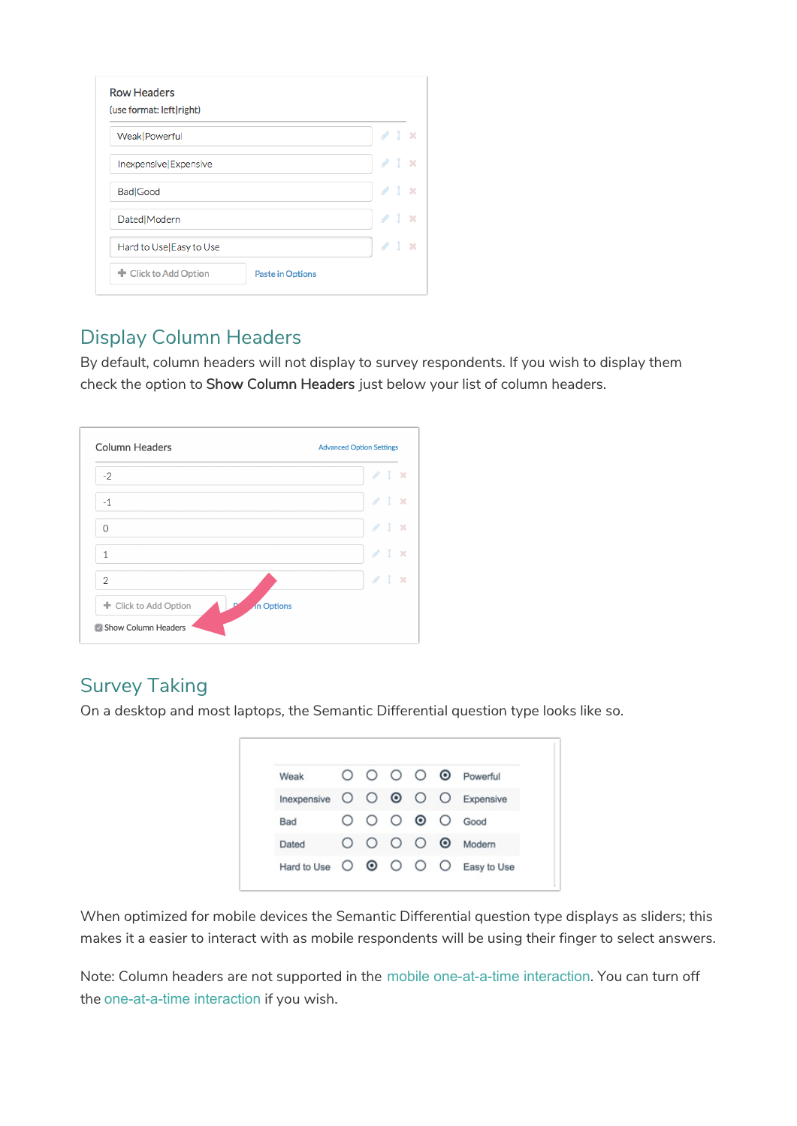| Weak   Powerful         | 21x                 |  |
|-------------------------|---------------------|--|
| Inexpensive Expensive   | 21x                 |  |
| Bad Good                | $\angle$ 1 $\times$ |  |
| Dated   Modern          | 21x                 |  |
| Hard to Use Easy to Use | $\angle$ 1 $\times$ |  |

#### Display Column Headers

By default, column headers will not display to survey respondents. If you wish to display them check the option to Show Column Headers just below your list of column headers.

| $-2$           | $\mathcal{L}$ 1<br>$\rightarrow$ |
|----------------|----------------------------------|
| $-1$           | $\ell$ 1 $\times$                |
| ∩              | $\mathcal{L}$ 1<br>$\rightarrow$ |
| $\mathbf{1}$   | $\ell$ 1 $\times$                |
| $\overline{2}$ | $\ell$ 1 $\times$                |

### Survey Taking

On a desktop and most laptops, the Semantic Differential question type looks like so.



When optimized for mobile devices the Semantic Differential question type displays as sliders; this makes it a easier to interact with as mobile respondents will be using their finger to select answers.

Note: Column headers are not supported in the mobile one-at-a-time interaction. You can turn off the one-at-a-time interaction if you wish.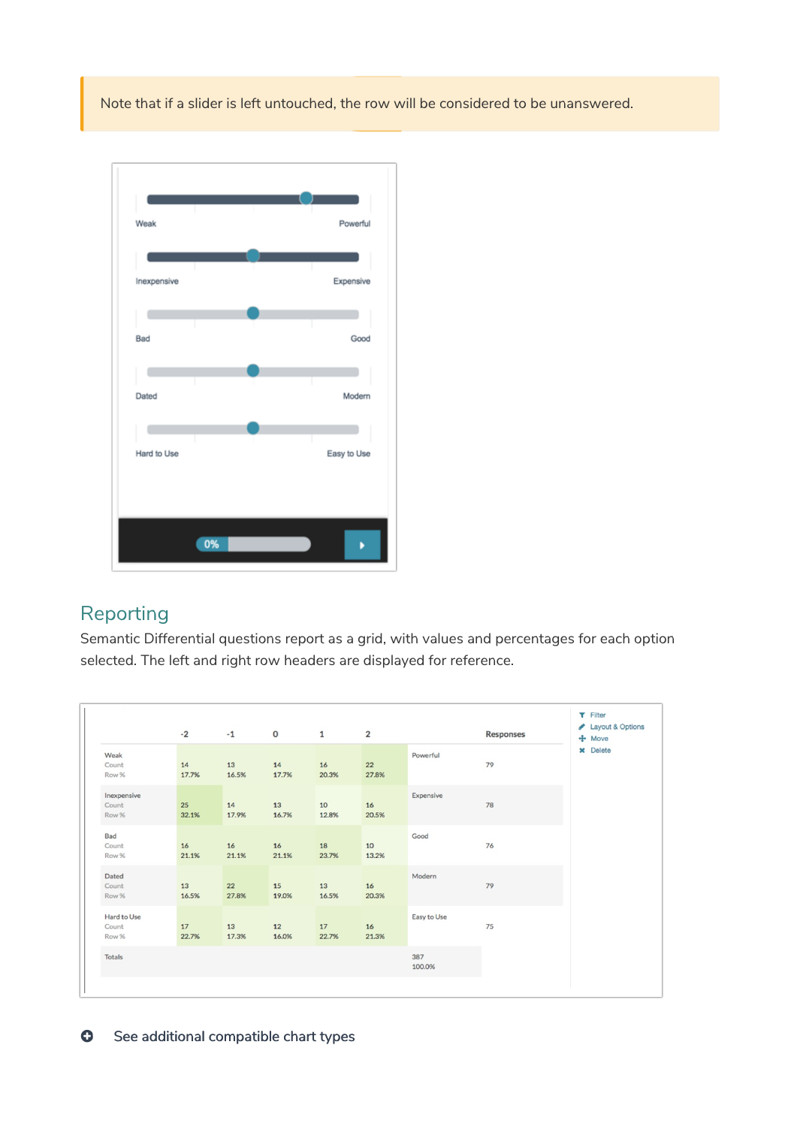Note that if a slider is left untouched, the row will be considered to be unanswered.



## Reporting

Semantic Differential questions report as a grid, with values and percentages for each option selected. The left and right row headers are displayed for reference.

|                               | $-2$        | $-1$        | $\mathbf 0$ | $\mathbf{1}$ | $\overline{2}$ |               | <b>Responses</b> | $T$ Filter<br>Layout & Options<br>$+$ Move |
|-------------------------------|-------------|-------------|-------------|--------------|----------------|---------------|------------------|--------------------------------------------|
| Weak<br>Count<br>Row %        | 14<br>17.7% | 13<br>16.5% | 14<br>17.7% | 16<br>20.3%  | 22<br>27.8%    | Powerful      | 79               | <b>x</b> Delete                            |
| Inexpensive<br>Count<br>Row % | 25<br>32.1% | 14<br>17.9% | 13<br>16.7% | 10<br>12.8%  | 16<br>20.5%    | Expensive     | 78               |                                            |
| Bad<br>Count<br>Row %         | 16<br>21.1% | 16<br>21.1% | 16<br>21.1% | 18<br>23.7%  | 10<br>13.2%    | Good          | 76               |                                            |
| Dated<br>Count<br>Row %       | 13<br>16.5% | 22<br>27.8% | 15<br>19.0% | 13<br>16.5%  | 16<br>20.3%    | Modern        | 79               |                                            |
| Hard to Use<br>Count<br>Row % | 17<br>22.7% | 13<br>17.3% | 12<br>16.0% | 17<br>22.7%  | 16<br>21.3%    | Easy to Use   | 75               |                                            |
| Totals                        |             |             |             |              |                | 387<br>100.0% |                  |                                            |